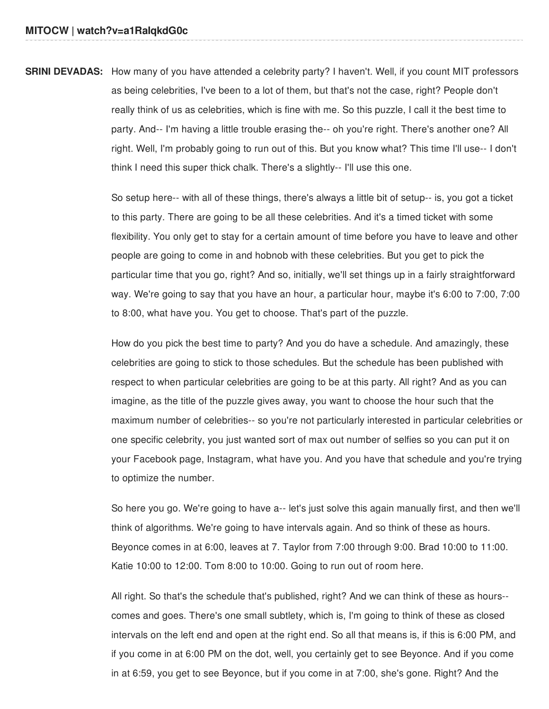**SRINI DEVADAS:** How many of you have attended a celebrity party? I haven't. Well, if you count MIT professors as being celebrities, I've been to a lot of them, but that's not the case, right? People don't really think of us as celebrities, which is fine with me. So this puzzle, I call it the best time to party. And-- I'm having a little trouble erasing the-- oh you're right. There's another one? All right. Well, I'm probably going to run out of this. But you know what? This time I'll use-- I don't think I need this super thick chalk. There's a slightly-- I'll use this one.

> So setup here-- with all of these things, there's always a little bit of setup-- is, you got a ticket to this party. There are going to be all these celebrities. And it's a timed ticket with some flexibility. You only get to stay for a certain amount of time before you have to leave and other people are going to come in and hobnob with these celebrities. But you get to pick the particular time that you go, right? And so, initially, we'll set things up in a fairly straightforward way. We're going to say that you have an hour, a particular hour, maybe it's 6:00 to 7:00, 7:00 to 8:00, what have you. You get to choose. That's part of the puzzle.

> How do you pick the best time to party? And you do have a schedule. And amazingly, these celebrities are going to stick to those schedules. But the schedule has been published with respect to when particular celebrities are going to be at this party. All right? And as you can imagine, as the title of the puzzle gives away, you want to choose the hour such that the maximum number of celebrities-- so you're not particularly interested in particular celebrities or one specific celebrity, you just wanted sort of max out number of selfies so you can put it on your Facebook page, Instagram, what have you. And you have that schedule and you're trying to optimize the number.

> So here you go. We're going to have a-- let's just solve this again manually first, and then we'll think of algorithms. We're going to have intervals again. And so think of these as hours. Beyonce comes in at 6:00, leaves at 7. Taylor from 7:00 through 9:00. Brad 10:00 to 11:00. Katie 10:00 to 12:00. Tom 8:00 to 10:00. Going to run out of room here.

> All right. So that's the schedule that's published, right? And we can think of these as hours- comes and goes. There's one small subtlety, which is, I'm going to think of these as closed intervals on the left end and open at the right end. So all that means is, if this is 6:00 PM, and if you come in at 6:00 PM on the dot, well, you certainly get to see Beyonce. And if you come in at 6:59, you get to see Beyonce, but if you come in at 7:00, she's gone. Right? And the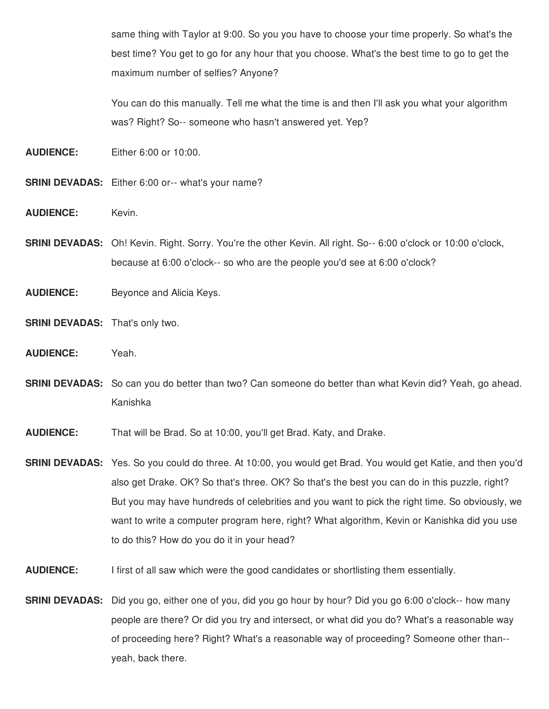same thing with Taylor at 9:00. So you you have to choose your time properly. So what's the best time? You get to go for any hour that you choose. What's the best time to go to get the maximum number of selfies? Anyone?

You can do this manually. Tell me what the time is and then I'll ask you what your algorithm was? Right? So-- someone who hasn't answered yet. Yep?

**AUDIENCE:** Either 6:00 or 10:00.

- **SRINI DEVADAS:** Either 6:00 or-- what's your name?
- AUDIENCE: Kevin.
- **SRINI DEVADAS:** Oh! Kevin. Right. Sorry. You're the other Kevin. All right. So-- 6:00 o'clock or 10:00 o'clock, because at 6:00 o'clock-- so who are the people you'd see at 6:00 o'clock?
- **AUDIENCE:** Beyonce and Alicia Keys.
- **SRINI DEVADAS:** That's only two.
- **AUDIENCE:** Yeah.
- **SRINI DEVADAS:** So can you do better than two? Can someone do better than what Kevin did? Yeah, go ahead. Kanishka
- **AUDIENCE:** That will be Brad. So at 10:00, you'll get Brad. Katy, and Drake.
- **SRINI DEVADAS:** Yes. So you could do three. At 10:00, you would get Brad. You would get Katie, and then you'd also get Drake. OK? So that's three. OK? So that's the best you can do in this puzzle, right? But you may have hundreds of celebrities and you want to pick the right time. So obviously, we want to write a computer program here, right? What algorithm, Kevin or Kanishka did you use to do this? How do you do it in your head?
- **AUDIENCE:** I first of all saw which were the good candidates or shortlisting them essentially.
- **SRINI DEVADAS:** Did you go, either one of you, did you go hour by hour? Did you go 6:00 o'clock-- how many people are there? Or did you try and intersect, or what did you do? What's a reasonable way of proceeding here? Right? What's a reasonable way of proceeding? Someone other than- yeah, back there.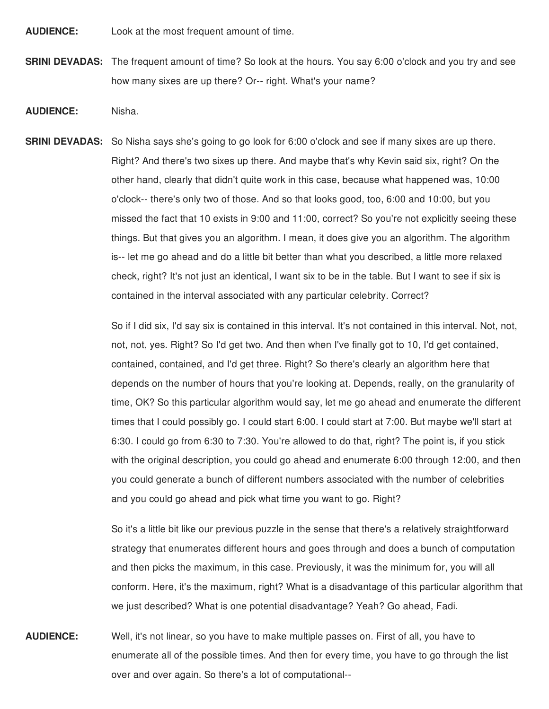**AUDIENCE:** Look at the most frequent amount of time.

**SRINI DEVADAS:** The frequent amount of time? So look at the hours. You say 6:00 o'clock and you try and see how many sixes are up there? Or-- right. What's your name?

## **AUDIENCE:** Nisha.

**SRINI DEVADAS:** So Nisha says she's going to go look for 6:00 o'clock and see if many sixes are up there. Right? And there's two sixes up there. And maybe that's why Kevin said six, right? On the other hand, clearly that didn't quite work in this case, because what happened was, 10:00 o'clock-- there's only two of those. And so that looks good, too, 6:00 and 10:00, but you missed the fact that 10 exists in 9:00 and 11:00, correct? So you're not explicitly seeing these things. But that gives you an algorithm. I mean, it does give you an algorithm. The algorithm is-- let me go ahead and do a little bit better than what you described, a little more relaxed check, right? It's not just an identical, I want six to be in the table. But I want to see if six is contained in the interval associated with any particular celebrity. Correct?

> So if I did six, I'd say six is contained in this interval. It's not contained in this interval. Not, not, not, not, yes. Right? So I'd get two. And then when I've finally got to 10, I'd get contained, contained, contained, and I'd get three. Right? So there's clearly an algorithm here that depends on the number of hours that you're looking at. Depends, really, on the granularity of time, OK? So this particular algorithm would say, let me go ahead and enumerate the different times that I could possibly go. I could start 6:00. I could start at 7:00. But maybe we'll start at 6:30. I could go from 6:30 to 7:30. You're allowed to do that, right? The point is, if you stick with the original description, you could go ahead and enumerate 6:00 through 12:00, and then you could generate a bunch of different numbers associated with the number of celebrities and you could go ahead and pick what time you want to go. Right?

> So it's a little bit like our previous puzzle in the sense that there's a relatively straightforward strategy that enumerates different hours and goes through and does a bunch of computation and then picks the maximum, in this case. Previously, it was the minimum for, you will all conform. Here, it's the maximum, right? What is a disadvantage of this particular algorithm that we just described? What is one potential disadvantage? Yeah? Go ahead, Fadi.

**AUDIENCE:** Well, it's not linear, so you have to make multiple passes on. First of all, you have to enumerate all of the possible times. And then for every time, you have to go through the list over and over again. So there's a lot of computational--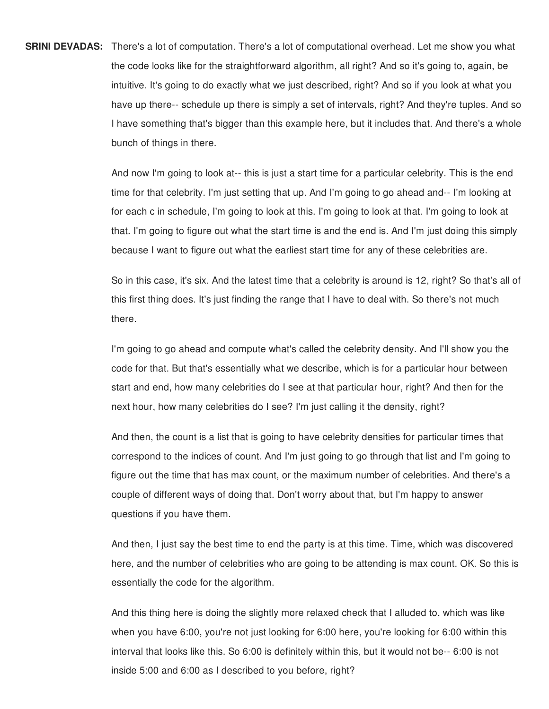**SRINI DEVADAS:** There's a lot of computation. There's a lot of computational overhead. Let me show you what the code looks like for the straightforward algorithm, all right? And so it's going to, again, be intuitive. It's going to do exactly what we just described, right? And so if you look at what you have up there-- schedule up there is simply a set of intervals, right? And they're tuples. And so I have something that's bigger than this example here, but it includes that. And there's a whole bunch of things in there.

> And now I'm going to look at-- this is just a start time for a particular celebrity. This is the end time for that celebrity. I'm just setting that up. And I'm going to go ahead and-- I'm looking at for each c in schedule, I'm going to look at this. I'm going to look at that. I'm going to look at that. I'm going to figure out what the start time is and the end is. And I'm just doing this simply because I want to figure out what the earliest start time for any of these celebrities are.

> So in this case, it's six. And the latest time that a celebrity is around is 12, right? So that's all of this first thing does. It's just finding the range that I have to deal with. So there's not much there.

I'm going to go ahead and compute what's called the celebrity density. And I'll show you the code for that. But that's essentially what we describe, which is for a particular hour between start and end, how many celebrities do I see at that particular hour, right? And then for the next hour, how many celebrities do I see? I'm just calling it the density, right?

And then, the count is a list that is going to have celebrity densities for particular times that correspond to the indices of count. And I'm just going to go through that list and I'm going to figure out the time that has max count, or the maximum number of celebrities. And there's a couple of different ways of doing that. Don't worry about that, but I'm happy to answer questions if you have them.

And then, I just say the best time to end the party is at this time. Time, which was discovered here, and the number of celebrities who are going to be attending is max count. OK. So this is essentially the code for the algorithm.

And this thing here is doing the slightly more relaxed check that I alluded to, which was like when you have 6:00, you're not just looking for 6:00 here, you're looking for 6:00 within this interval that looks like this. So 6:00 is definitely within this, but it would not be-- 6:00 is not inside 5:00 and 6:00 as I described to you before, right?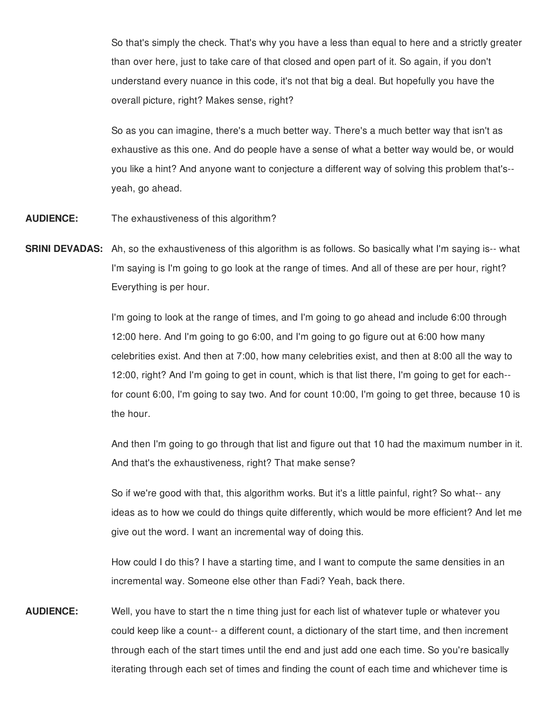So that's simply the check. That's why you have a less than equal to here and a strictly greater than over here, just to take care of that closed and open part of it. So again, if you don't understand every nuance in this code, it's not that big a deal. But hopefully you have the overall picture, right? Makes sense, right?

So as you can imagine, there's a much better way. There's a much better way that isn't as exhaustive as this one. And do people have a sense of what a better way would be, or would you like a hint? And anyone want to conjecture a different way of solving this problem that's- yeah, go ahead.

- **AUDIENCE:** The exhaustiveness of this algorithm?
- **SRINI DEVADAS:** Ah, so the exhaustiveness of this algorithm is as follows. So basically what I'm saying is-- what I'm saying is I'm going to go look at the range of times. And all of these are per hour, right? Everything is per hour.

I'm going to look at the range of times, and I'm going to go ahead and include 6:00 through 12:00 here. And I'm going to go 6:00, and I'm going to go figure out at 6:00 how many celebrities exist. And then at 7:00, how many celebrities exist, and then at 8:00 all the way to 12:00, right? And I'm going to get in count, which is that list there, I'm going to get for each- for count 6:00, I'm going to say two. And for count 10:00, I'm going to get three, because 10 is the hour.

And then I'm going to go through that list and figure out that 10 had the maximum number in it. And that's the exhaustiveness, right? That make sense?

So if we're good with that, this algorithm works. But it's a little painful, right? So what-- any ideas as to how we could do things quite differently, which would be more efficient? And let me give out the word. I want an incremental way of doing this.

How could I do this? I have a starting time, and I want to compute the same densities in an incremental way. Someone else other than Fadi? Yeah, back there.

**AUDIENCE:** Well, you have to start the n time thing just for each list of whatever tuple or whatever you could keep like a count-- a different count, a dictionary of the start time, and then increment through each of the start times until the end and just add one each time. So you're basically iterating through each set of times and finding the count of each time and whichever time is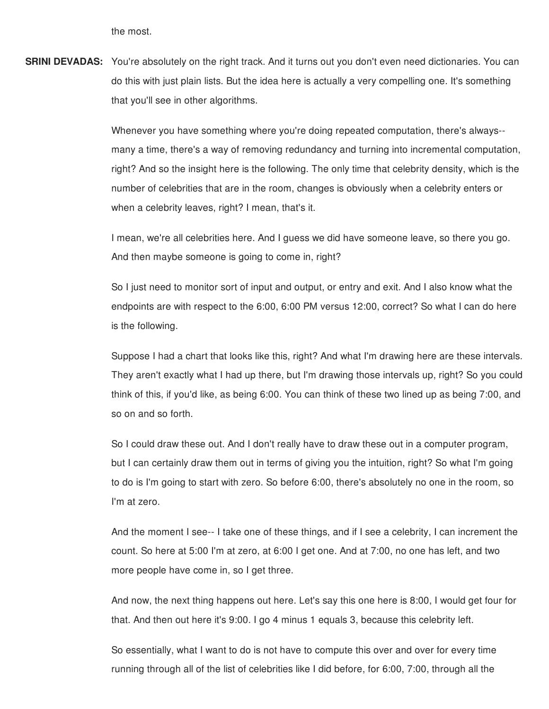the most.

**SRINI DEVADAS:** You're absolutely on the right track. And it turns out you don't even need dictionaries. You can do this with just plain lists. But the idea here is actually a very compelling one. It's something that you'll see in other algorithms.

> Whenever you have something where you're doing repeated computation, there's always- many a time, there's a way of removing redundancy and turning into incremental computation, right? And so the insight here is the following. The only time that celebrity density, which is the number of celebrities that are in the room, changes is obviously when a celebrity enters or when a celebrity leaves, right? I mean, that's it.

I mean, we're all celebrities here. And I guess we did have someone leave, so there you go. And then maybe someone is going to come in, right?

So I just need to monitor sort of input and output, or entry and exit. And I also know what the endpoints are with respect to the 6:00, 6:00 PM versus 12:00, correct? So what I can do here is the following.

Suppose I had a chart that looks like this, right? And what I'm drawing here are these intervals. They aren't exactly what I had up there, but I'm drawing those intervals up, right? So you could think of this, if you'd like, as being 6:00. You can think of these two lined up as being 7:00, and so on and so forth.

So I could draw these out. And I don't really have to draw these out in a computer program, but I can certainly draw them out in terms of giving you the intuition, right? So what I'm going to do is I'm going to start with zero. So before 6:00, there's absolutely no one in the room, so I'm at zero.

And the moment I see-- I take one of these things, and if I see a celebrity, I can increment the count. So here at 5:00 I'm at zero, at 6:00 I get one. And at 7:00, no one has left, and two more people have come in, so I get three.

And now, the next thing happens out here. Let's say this one here is 8:00, I would get four for that. And then out here it's 9:00. I go 4 minus 1 equals 3, because this celebrity left.

So essentially, what I want to do is not have to compute this over and over for every time running through all of the list of celebrities like I did before, for 6:00, 7:00, through all the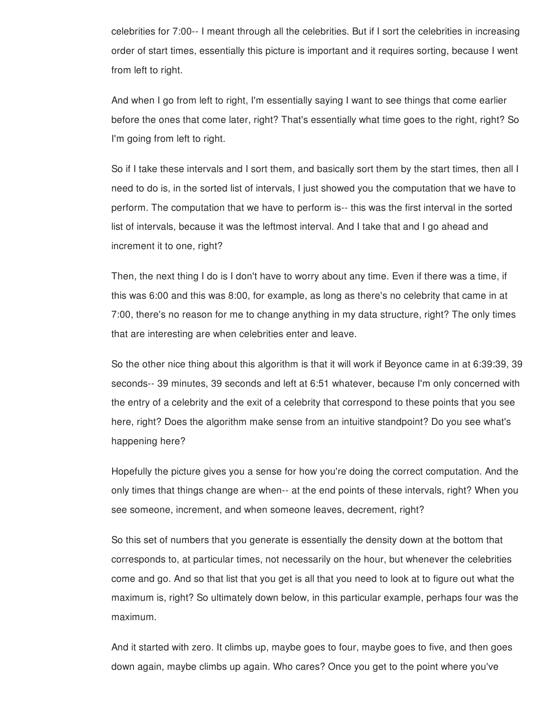celebrities for 7:00-- I meant through all the celebrities. But if I sort the celebrities in increasing order of start times, essentially this picture is important and it requires sorting, because I went from left to right.

And when I go from left to right, I'm essentially saying I want to see things that come earlier before the ones that come later, right? That's essentially what time goes to the right, right? So I'm going from left to right.

So if I take these intervals and I sort them, and basically sort them by the start times, then all I need to do is, in the sorted list of intervals, I just showed you the computation that we have to perform. The computation that we have to perform is-- this was the first interval in the sorted list of intervals, because it was the leftmost interval. And I take that and I go ahead and increment it to one, right?

Then, the next thing I do is I don't have to worry about any time. Even if there was a time, if this was 6:00 and this was 8:00, for example, as long as there's no celebrity that came in at 7:00, there's no reason for me to change anything in my data structure, right? The only times that are interesting are when celebrities enter and leave.

So the other nice thing about this algorithm is that it will work if Beyonce came in at 6:39:39, 39 seconds-- 39 minutes, 39 seconds and left at 6:51 whatever, because I'm only concerned with the entry of a celebrity and the exit of a celebrity that correspond to these points that you see here, right? Does the algorithm make sense from an intuitive standpoint? Do you see what's happening here?

Hopefully the picture gives you a sense for how you're doing the correct computation. And the only times that things change are when-- at the end points of these intervals, right? When you see someone, increment, and when someone leaves, decrement, right?

So this set of numbers that you generate is essentially the density down at the bottom that corresponds to, at particular times, not necessarily on the hour, but whenever the celebrities come and go. And so that list that you get is all that you need to look at to figure out what the maximum is, right? So ultimately down below, in this particular example, perhaps four was the maximum.

And it started with zero. It climbs up, maybe goes to four, maybe goes to five, and then goes down again, maybe climbs up again. Who cares? Once you get to the point where you've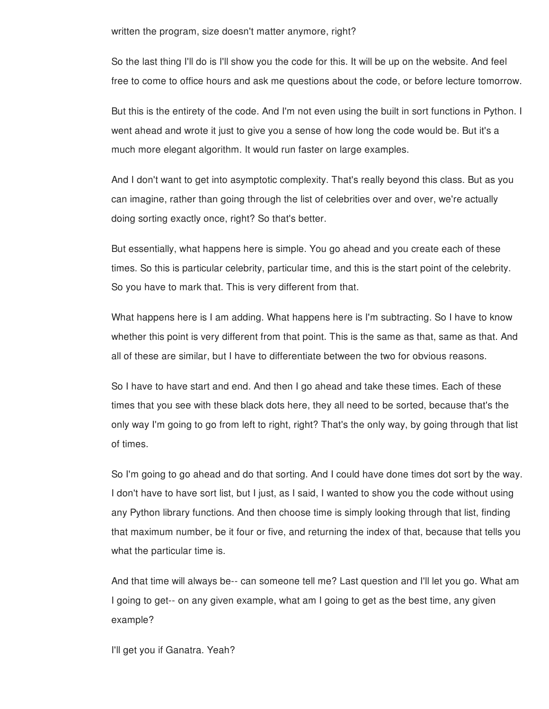written the program, size doesn't matter anymore, right?

So the last thing I'll do is I'll show you the code for this. It will be up on the website. And feel free to come to office hours and ask me questions about the code, or before lecture tomorrow.

But this is the entirety of the code. And I'm not even using the built in sort functions in Python. I went ahead and wrote it just to give you a sense of how long the code would be. But it's a much more elegant algorithm. It would run faster on large examples.

And I don't want to get into asymptotic complexity. That's really beyond this class. But as you can imagine, rather than going through the list of celebrities over and over, we're actually doing sorting exactly once, right? So that's better.

But essentially, what happens here is simple. You go ahead and you create each of these times. So this is particular celebrity, particular time, and this is the start point of the celebrity. So you have to mark that. This is very different from that.

What happens here is I am adding. What happens here is I'm subtracting. So I have to know whether this point is very different from that point. This is the same as that, same as that. And all of these are similar, but I have to differentiate between the two for obvious reasons.

So I have to have start and end. And then I go ahead and take these times. Each of these times that you see with these black dots here, they all need to be sorted, because that's the only way I'm going to go from left to right, right? That's the only way, by going through that list of times.

So I'm going to go ahead and do that sorting. And I could have done times dot sort by the way. I don't have to have sort list, but I just, as I said, I wanted to show you the code without using any Python library functions. And then choose time is simply looking through that list, finding that maximum number, be it four or five, and returning the index of that, because that tells you what the particular time is.

And that time will always be-- can someone tell me? Last question and I'll let you go. What am I going to get-- on any given example, what am I going to get as the best time, any given example?

I'll get you if Ganatra. Yeah?